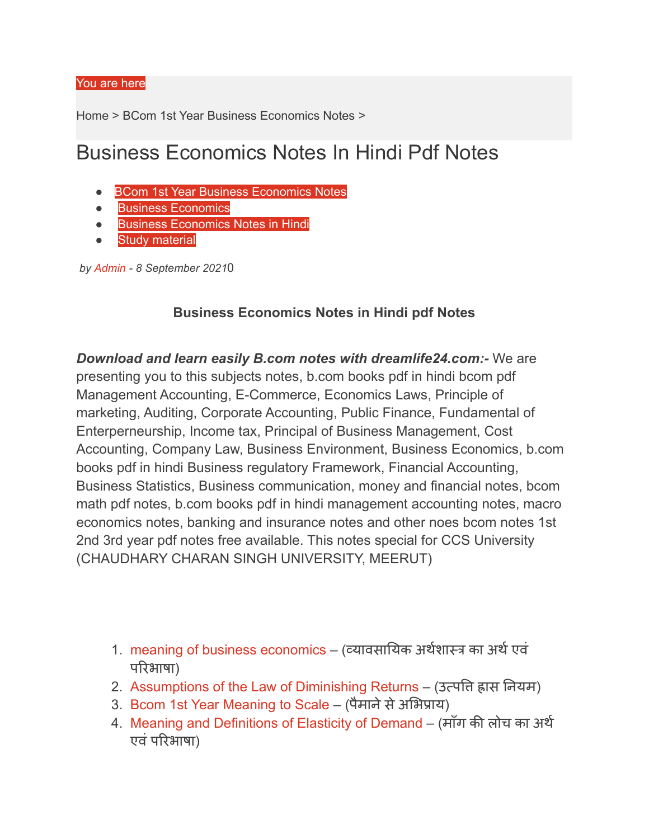## You are here

Home > BCom 1st Year Business [Economics](https://dreamlife24.com/category/bcom-1st-year-business-economics-notes/) Notes >

## Business Economics Notes In Hindi Pdf Notes

- **BCom 1st Year Business [Economics](https://dreamlife24.com/category/bcom-1st-year-business-economics-notes/) Notes**
- **Business [Economics](https://dreamlife24.com/category/business-economics/)**
- **Business [Economics](https://dreamlife24.com/category/business-economics-notes-in-hindi/) Notes in Hindi**
- **Study [material](https://dreamlife24.com/category/study-material/)**

*by [Admin](https://dreamlife24.com/author/education/) - 8 September 2021*0

## **Business Economics Notes in Hindi pdf Notes**

*Download and learn easily B.com notes with dreamlife24.com:-* We are presenting you to this subjects notes, b.com books pdf in hindi bcom pdf Management Accounting, E-Commerce, Economics Laws, Principle of marketing, Auditing, Corporate Accounting, Public Finance, Fundamental of Enterperneurship, Income tax, Principal of Business Management, Cost Accounting, Company Law, Business Environment, Business Economics, b.com books pdf in hindi Business regulatory Framework, Financial Accounting, Business Statistics, Business communication, money and financial notes, bcom math pdf notes, b.com books pdf in hindi management accounting notes, macro economics notes, banking and insurance notes and other noes bcom notes 1st 2nd 3rd year pdf notes free available. This notes special for CCS University (CHAUDHARY CHARAN SINGH UNIVERSITY, MEERUT)

- 1. meaning of business [economics](https://dreamlife24.com/meaning-of-business-economics/) (व्यावसायिक अर्थशास्त्र का अर्थ एवं परि भाषा)
- 2. [Assumptions](https://dreamlife24.com/assumptions-of-the-law-of-diminishing-returns/) of the Law of Diminishing Returns (उत्पत्ति ह्रास नियम)
- 3. Bcom 1st Year [Meaning](https://dreamlife24.com/bcom-1st-year-meaning-to-scale/) to Scale (पैमाने से अभिप्राय)
- 4. Meaning and [Definitions](https://dreamlife24.com/meaning-and-definitions-of-elasticity-of-demand/) of Elasticity of Demand (माँग की लोच का अर्थ एवं परिभाषा)